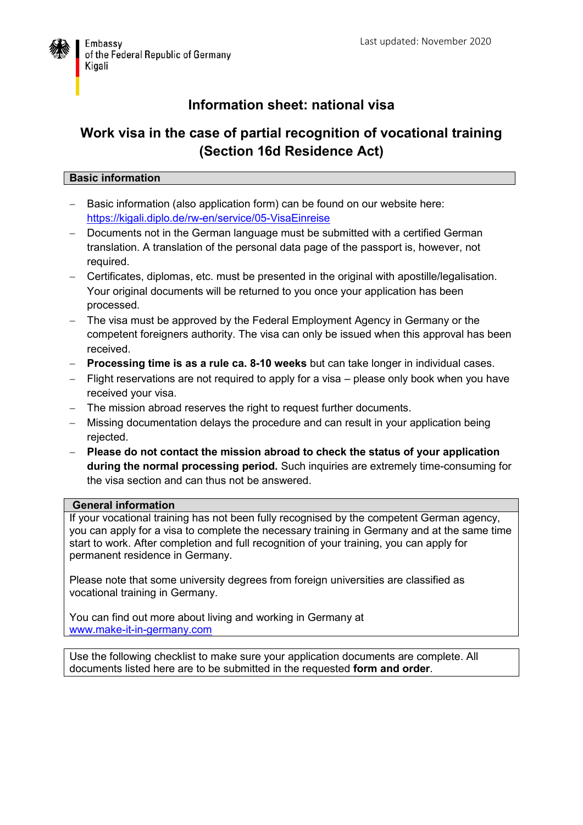

## **Information sheet: national visa**

### **Work visa in the case of partial recognition of vocational training (Section 16d Residence Act)**

### **Basic information**

- Basic information (also application form) can be found on our website here: <https://kigali.diplo.de/rw-en/service/05-VisaEinreise>
- Documents not in the German language must be submitted with a certified German translation. A translation of the personal data page of the passport is, however, not required.
- Certificates, diplomas, etc. must be presented in the original with apostille/legalisation. Your original documents will be returned to you once your application has been processed.
- The visa must be approved by the Federal Employment Agency in Germany or the competent foreigners authority. The visa can only be issued when this approval has been received.
- **Processing time is as a rule ca. 8-10 weeks** but can take longer in individual cases.
- Flight reservations are not required to apply for a visa please only book when you have received your visa.
- The mission abroad reserves the right to request further documents.
- Missing documentation delays the procedure and can result in your application being rejected.
- **Please do not contact the mission abroad to check the status of your application during the normal processing period.** Such inquiries are extremely time-consuming for the visa section and can thus not be answered.

#### **General information**

If your vocational training has not been fully recognised by the competent German agency, you can apply for a visa to complete the necessary training in Germany and at the same time start to work. After completion and full recognition of your training, you can apply for permanent residence in Germany.

Please note that some university degrees from foreign universities are classified as vocational training in Germany.

You can find out more about living and working in Germany at [www.make-it-in-germany.com](http://www.make-it-in-germany.com/)

Use the following checklist to make sure your application documents are complete. All documents listed here are to be submitted in the requested **form and order**.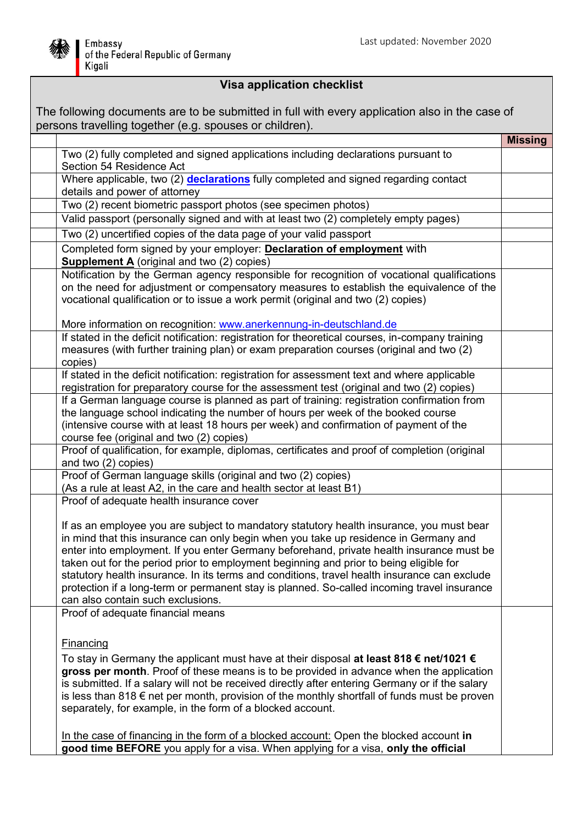

# **Visa application checklist**

| The following documents are to be submitted in full with every application also in the case of<br>persons travelling together (e.g. spouses or children). |                                                                                                                                                                                                                                                                                                                                                                                                                                                                                                                                                                                                                                                                                                                 |                |
|-----------------------------------------------------------------------------------------------------------------------------------------------------------|-----------------------------------------------------------------------------------------------------------------------------------------------------------------------------------------------------------------------------------------------------------------------------------------------------------------------------------------------------------------------------------------------------------------------------------------------------------------------------------------------------------------------------------------------------------------------------------------------------------------------------------------------------------------------------------------------------------------|----------------|
|                                                                                                                                                           |                                                                                                                                                                                                                                                                                                                                                                                                                                                                                                                                                                                                                                                                                                                 | <b>Missing</b> |
|                                                                                                                                                           | Two (2) fully completed and signed applications including declarations pursuant to<br>Section 54 Residence Act                                                                                                                                                                                                                                                                                                                                                                                                                                                                                                                                                                                                  |                |
|                                                                                                                                                           | Where applicable, two (2) declarations fully completed and signed regarding contact<br>details and power of attorney                                                                                                                                                                                                                                                                                                                                                                                                                                                                                                                                                                                            |                |
|                                                                                                                                                           | Two (2) recent biometric passport photos (see specimen photos)                                                                                                                                                                                                                                                                                                                                                                                                                                                                                                                                                                                                                                                  |                |
|                                                                                                                                                           | Valid passport (personally signed and with at least two (2) completely empty pages)                                                                                                                                                                                                                                                                                                                                                                                                                                                                                                                                                                                                                             |                |
|                                                                                                                                                           | Two (2) uncertified copies of the data page of your valid passport                                                                                                                                                                                                                                                                                                                                                                                                                                                                                                                                                                                                                                              |                |
|                                                                                                                                                           | Completed form signed by your employer: Declaration of employment with<br><b>Supplement A</b> (original and two (2) copies)                                                                                                                                                                                                                                                                                                                                                                                                                                                                                                                                                                                     |                |
|                                                                                                                                                           | Notification by the German agency responsible for recognition of vocational qualifications<br>on the need for adjustment or compensatory measures to establish the equivalence of the<br>vocational qualification or to issue a work permit (original and two (2) copies)<br>More information on recognition: www.anerkennung-in-deutschland.de                                                                                                                                                                                                                                                                                                                                                                 |                |
|                                                                                                                                                           | If stated in the deficit notification: registration for theoretical courses, in-company training<br>measures (with further training plan) or exam preparation courses (original and two (2)<br>copies)                                                                                                                                                                                                                                                                                                                                                                                                                                                                                                          |                |
|                                                                                                                                                           | If stated in the deficit notification: registration for assessment text and where applicable<br>registration for preparatory course for the assessment test (original and two (2) copies)                                                                                                                                                                                                                                                                                                                                                                                                                                                                                                                       |                |
|                                                                                                                                                           | If a German language course is planned as part of training: registration confirmation from<br>the language school indicating the number of hours per week of the booked course<br>(intensive course with at least 18 hours per week) and confirmation of payment of the<br>course fee (original and two (2) copies)                                                                                                                                                                                                                                                                                                                                                                                             |                |
|                                                                                                                                                           | Proof of qualification, for example, diplomas, certificates and proof of completion (original<br>and two (2) copies)                                                                                                                                                                                                                                                                                                                                                                                                                                                                                                                                                                                            |                |
|                                                                                                                                                           | Proof of German language skills (original and two (2) copies)<br>(As a rule at least A2, in the care and health sector at least B1)                                                                                                                                                                                                                                                                                                                                                                                                                                                                                                                                                                             |                |
|                                                                                                                                                           | Proof of adequate health insurance cover<br>If as an employee you are subject to mandatory statutory health insurance, you must bear<br>in mind that this insurance can only begin when you take up residence in Germany and<br>enter into employment. If you enter Germany beforehand, private health insurance must be<br>taken out for the period prior to employment beginning and prior to being eligible for<br>statutory health insurance. In its terms and conditions, travel health insurance can exclude<br>protection if a long-term or permanent stay is planned. So-called incoming travel insurance<br>can also contain such exclusions.                                                          |                |
|                                                                                                                                                           | Proof of adequate financial means<br>Financing<br>To stay in Germany the applicant must have at their disposal at least 818 $\epsilon$ net/1021 $\epsilon$<br>gross per month. Proof of these means is to be provided in advance when the application<br>is submitted. If a salary will not be received directly after entering Germany or if the salary<br>is less than 818 $\epsilon$ net per month, provision of the monthly shortfall of funds must be proven<br>separately, for example, in the form of a blocked account.<br>In the case of financing in the form of a blocked account: Open the blocked account in<br>good time BEFORE you apply for a visa. When applying for a visa, only the official |                |